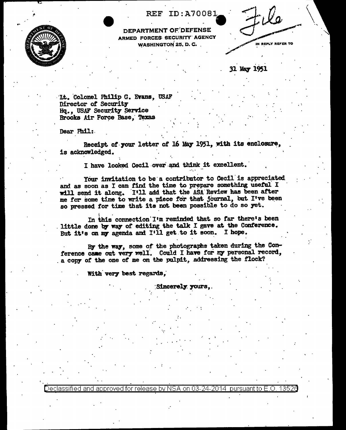

**REF ID:A70081** 

IN REPLY REFER TO

**DEPARTMENT OF DEFE** ARMED FORCES SECURITY AGENCY **WASHINGTON 25, D. C.** 

31 May 1951

Lt. Colonel Philip G. Evans, USAF Director of Security Hq., USAF Security Service Brooks Air Force Base, Texas

Dear Phil:

Receipt of your letter of 16 May 1951, with its enclosure, is acknowledged.

I have looked Cecil over and think it excellent.

Your invitation to be a contributor to Cecil is appreciated and as soon as I can find the time to prepare something useful I will send it along. I'll add that the ASA Review has been after me for some time to write a piece for that journal, but I've been so pressed for time that its not been possible to do so yet.

In this connection I'm reminded that so far there's been Iittle done by way of editing the talk I gave at the Conference. But it's on my agenda and I'll get to it soon. I hope.

By the way, some of the photographs taken during the Conference came out very well. Could I have for my personal record, a copy of the one of me on the pulpit, addressing the flock?

With very best regards,

**Sincerely yours.** 

Declassified and approved for release by NSA on 03-24-2014  $\,$  pursuant to E.O. 13526  $\,$